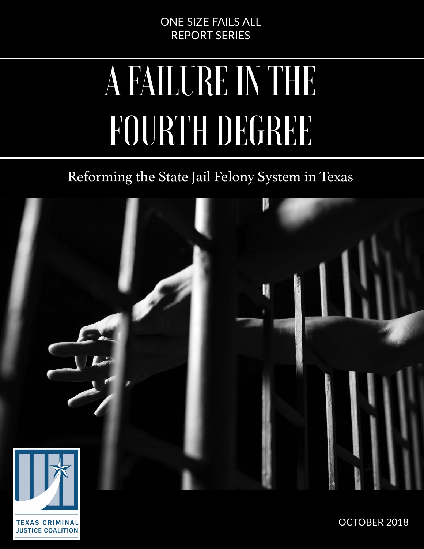### ONE SIZE FAILS ALL REPORT SERIES

# A FAILURE IN THE FOURTH DEGREE

## Reforming the State Jail Felony System in Texas



**TEXAS CRIMINAL JUSTICE COALITION**  OCTOBER 2018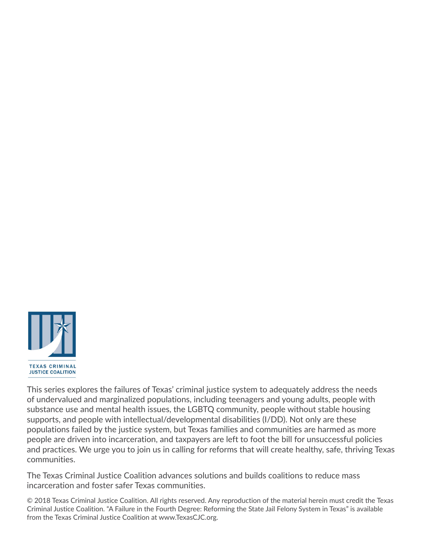

This series explores the failures of Texas' criminal justice system to adequately address the needs of undervalued and marginalized populations, including teenagers and young adults, people with substance use and mental health issues, the LGBTQ community, people without stable housing supports, and people with intellectual/developmental disabilities (I/DD). Not only are these populations failed by the justice system, but Texas families and communities are harmed as more people are driven into incarceration, and taxpayers are left to foot the bill for unsuccessful policies and practices. We urge you to join us in calling for reforms that will create healthy, safe, thriving Texas communities.

The Texas Criminal Justice Coalition advances solutions and builds coalitions to reduce mass incarceration and foster safer Texas communities.

© 2018 Texas Criminal Justice Coalition. All rights reserved. Any reproduction of the material herein must credit the Texas Criminal Justice Coalition. "A Failure in the Fourth Degree: Reforming the State Jail Felony System in Texas" is available from the Texas Criminal Justice Coalition at [www.TexasCJC.org.](http://www.TexasCJC.org)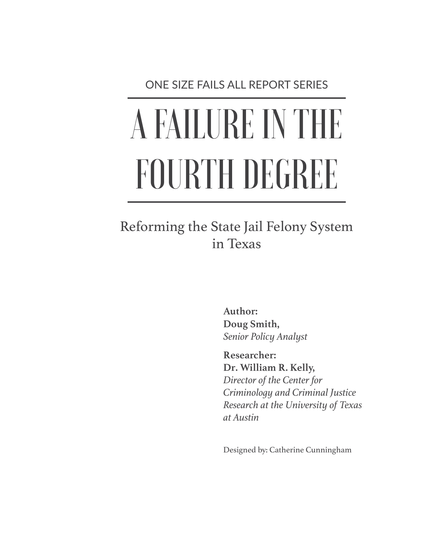ONE SIZE FAILS ALL REPORT SERIES

# A FAILURE IN THE FOURTH DEGREE

## Reforming the State Jail Felony System in Texas

**Author: Doug Smith,** *Senior Policy Analyst*

**Researcher: Dr. William R. Kelly,** *Director of the Center for Criminology and Criminal Justice Research at the University of Texas at Austin*

Designed by: Catherine Cunningham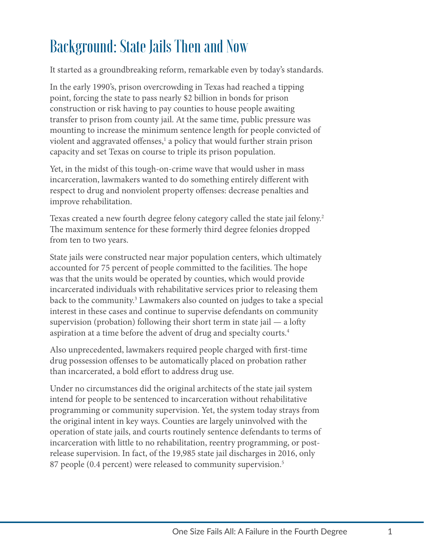# Background: State Jails Then and Now

It started as a groundbreaking reform, remarkable even by today's standards.

In the early 1990's, prison overcrowding in Texas had reached a tipping point, forcing the state to pass nearly \$2 billion in bonds for prison construction or risk having to pay counties to house people awaiting transfer to prison from county jail. At the same time, public pressure was mounting to increase the minimum sentence length for people convicted of violent and aggravated offenses,<sup>1</sup> a policy that would further strain prison capacity and set Texas on course to triple its prison population.

Yet, in the midst of this tough-on-crime wave that would usher in mass incarceration, lawmakers wanted to do something entirely different with respect to drug and nonviolent property offenses: decrease penalties and improve rehabilitation.

Texas created a new fourth degree felony category called the state jail felony.<sup>2</sup> The maximum sentence for these formerly third degree felonies dropped from ten to two years.

State jails were constructed near major population centers, which ultimately accounted for 75 percent of people committed to the facilities. The hope was that the units would be operated by counties, which would provide incarcerated individuals with rehabilitative services prior to releasing them back to the community.<sup>3</sup> Lawmakers also counted on judges to take a special interest in these cases and continue to supervise defendants on community supervision (probation) following their short term in state jail — a lofty aspiration at a time before the advent of drug and specialty courts[.4](#page-23-3)

Also unprecedented, lawmakers required people charged with first-time drug possession offenses to be automatically placed on probation rather than incarcerated, a bold effort to address drug use.

Under no circumstances did the original architects of the state jail system intend for people to be sentenced to incarceration without rehabilitative programming or community supervision. Yet, the system today strays from the original intent in key ways. Counties are largely uninvolved with the operation of state jails, and courts routinely sentence defendants to terms of incarceration with little to no rehabilitation, reentry programming, or postrelease supervision. In fact, of the 19,985 state jail discharges in 2016, only 87 people (0.4 percent) were released to community supervision.<sup>[5](#page-23-4)</sup>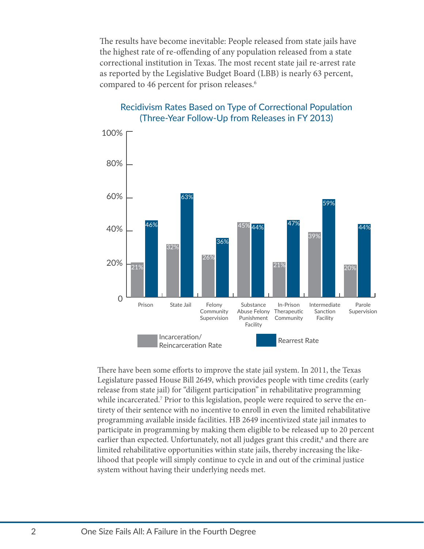The results have become inevitable: People released from state jails have the highest rate of re-offending of any population released from a state correctional institution in Texas. The most recent state jail re-arrest rate as reported by the Legislative Budget Board (LBB) is nearly 63 percent, compared to 4[6](#page-23-5) percent for prison releases.<sup>6</sup>



#### Recidivism Rates Based on Type of Correctional Population (Three-Year Follow-Up from Releases in FY 2013)

There have been some efforts to improve the state jail system. In 2011, the Texas Legislature passed House Bill 2649, which provides people with time credits (early release from state jail) for "diligent participation" in rehabilitative programming while incarcerated.<sup>7</sup> Prior to this legislation, people were required to serve the entirety of their sentence with no incentive to enroll in even the limited rehabilitative programming available inside facilities. HB 2649 incentivized state jail inmates to participate in programming by making them eligible to be released up to 20 percent earlier than expected. Unfortunately, not all judges grant this credit,<sup>[8](#page-23-7)</sup> and there are limited rehabilitative opportunities within state jails, thereby increasing the likelihood that people will simply continue to cycle in and out of the criminal justice system without having their underlying needs met.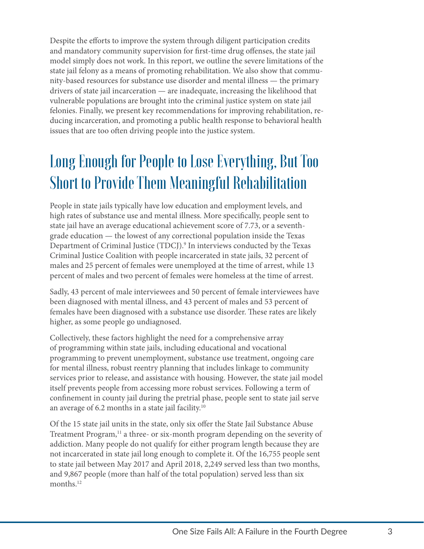Despite the efforts to improve the system through diligent participation credits and mandatory community supervision for first-time drug offenses, the state jail model simply does not work. In this report, we outline the severe limitations of the state jail felony as a means of promoting rehabilitation. We also show that community-based resources for substance use disorder and mental illness — the primary drivers of state jail incarceration — are inadequate, increasing the likelihood that vulnerable populations are brought into the criminal justice system on state jail felonies. Finally, we present key recommendations for improving rehabilitation, reducing incarceration, and promoting a public health response to behavioral health issues that are too often driving people into the justice system.

# Long Enough for People to Lose Everything, But Too Short to Provide Them Meaningful Rehabilitation

People in state jails typically have low education and employment levels, and high rates of substance use and mental illness. More specifically, people sent to state jail have an average educational achievement score of 7.73, or a seventhgrade education — the lowest of any correctional population inside the Texas Department of Criminal Justice (TDCJ).<sup>[9](#page-23-8)</sup> In interviews conducted by the Texas Criminal Justice Coalition with people incarcerated in state jails, 32 percent of males and 25 percent of females were unemployed at the time of arrest, while 13 percent of males and two percent of females were homeless at the time of arrest.

Sadly, 43 percent of male interviewees and 50 percent of female interviewees have been diagnosed with mental illness, and 43 percent of males and 53 percent of females have been diagnosed with a substance use disorder. These rates are likely higher, as some people go undiagnosed.

Collectively, these factors highlight the need for a comprehensive array of programming within state jails, including educational and vocational programming to prevent unemployment, substance use treatment, ongoing care for mental illness, robust reentry planning that includes linkage to community services prior to release, and assistance with housing. However, the state jail model itself prevents people from accessing more robust services. Following a term of confinement in county jail during the pretrial phase, people sent to state jail serve an average of 6.2 months in a state jail facility[.10](#page-23-9)

Of the 15 state jail units in the state, only six offer the State Jail Substance Abuse Treatment Program,<sup>11</sup> a three- or six-month program depending on the severity of addiction. Many people do not qualify for either program length because they are not incarcerated in state jail long enough to complete it. Of the 16,755 people sent to state jail between May 2017 and April 2018, 2,249 served less than two months, and 9,867 people (more than half of the total population) served less than six months.<sup>12</sup>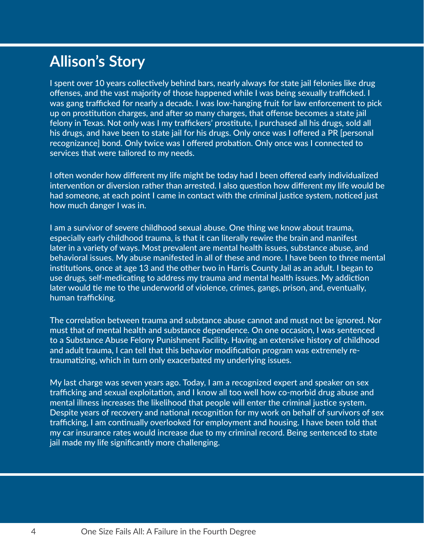## **Allison's Story**

I spent over 10 years collectively behind bars, nearly always for state jail felonies like drug offenses, and the vast majority of those happened while I was being sexually trafficked. I was gang trafficked for nearly a decade. I was low-hanging fruit for law enforcement to pick up on prostitution charges, and after so many charges, that offense becomes a state jail felony in Texas. Not only was I my traffickers' prostitute, I purchased all his drugs, sold all his drugs, and have been to state jail for his drugs. Only once was I offered a PR [personal recognizance] bond. Only twice was I offered probation. Only once was I connected to services that were tailored to my needs.

I often wonder how different my life might be today had I been offered early individualized intervention or diversion rather than arrested. I also question how different my life would be had someone, at each point I came in contact with the criminal justice system, noticed just how much danger I was in.

I am a survivor of severe childhood sexual abuse. One thing we know about trauma, especially early childhood trauma, is that it can literally rewire the brain and manifest later in a variety of ways. Most prevalent are mental health issues, substance abuse, and behavioral issues. My abuse manifested in all of these and more. I have been to three mental institutions, once at age 13 and the other two in Harris County Jail as an adult. I began to use drugs, self-medicating to address my trauma and mental health issues. My addiction later would tie me to the underworld of violence, crimes, gangs, prison, and, eventually, human trafficking.

The correlation between trauma and substance abuse cannot and must not be ignored. Nor must that of mental health and substance dependence. On one occasion, I was sentenced to a Substance Abuse Felony Punishment Facility. Having an extensive history of childhood and adult trauma, I can tell that this behavior modification program was extremely retraumatizing, which in turn only exacerbated my underlying issues.

My last charge was seven years ago. Today, I am a recognized expert and speaker on sex trafficking and sexual exploitation, and I know all too well how co-morbid drug abuse and mental illness increases the likelihood that people will enter the criminal justice system. Despite years of recovery and national recognition for my work on behalf of survivors of sex trafficking, I am continually overlooked for employment and housing. I have been told that my car insurance rates would increase due to my criminal record. Being sentenced to state jail made my life significantly more challenging.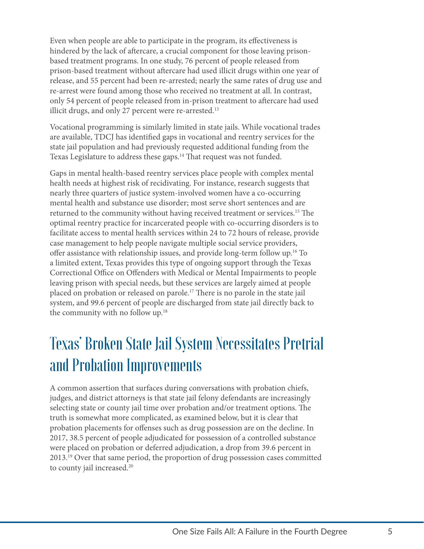Even when people are able to participate in the program, its effectiveness is hindered by the lack of aftercare, a crucial component for those leaving prisonbased treatment programs. In one study, 76 percent of people released from prison-based treatment without aftercare had used illicit drugs within one year of release, and 55 percent had been re-arrested; nearly the same rates of drug use and re-arrest were found among those who received no treatment at all. In contrast, only 54 percent of people released from in-prison treatment to aftercare had used illicit drugs, and only 27 percent were re-arrested.<sup>[13](#page-23-12)</sup>

Vocational programming is similarly limited in state jails. While vocational trades are available, TDCJ has identified gaps in vocational and reentry services for the state jail population and had previously requested additional funding from the Texas Legislature to address these gaps[.14](#page-23-13) That request was not funded.

Gaps in mental health-based reentry services place people with complex mental health needs at highest risk of recidivating. For instance, research suggests that nearly three quarters of justice system-involved women have a co-occurring mental health and substance use disorder; most serve short sentences and are returned to the community without having received treatment or services.<sup>15</sup> The optimal reentry practice for incarcerated people with co-occurring disorders is to facilitate access to mental health services within 24 to 72 hours of release, provide case management to help people navigate multiple social service providers, offer assistance with relationship issues, and provide long-term follow up[.16](#page-23-15) To a limited extent, Texas provides this type of ongoing support through the Texas Correctional Office on Offenders with Medical or Mental Impairments to people leaving prison with special needs, but these services are largely aimed at people placed on probation or released on parole.[17](#page-23-16) There is no parole in the state jail system, and 99.6 percent of people are discharged from state jail directly back to the community with no follow up[.18](#page-23-17)

# Texas' Broken State Jail System Necessitates Pretrial and Probation Improvements

A common assertion that surfaces during conversations with probation chiefs, judges, and district attorneys is that state jail felony defendants are increasingly selecting state or county jail time over probation and/or treatment options. The truth is somewhat more complicated, as examined below, but it is clear that probation placements for offenses such as drug possession are on the decline. In 2017, 38.5 percent of people adjudicated for possession of a controlled substance were placed on probation or deferred adjudication, a drop from 39.6 percent in 2013.[19](#page-23-18) Over that same period, the proportion of drug possession cases committed to county jail increased.<sup>[20](#page-23-19)</sup>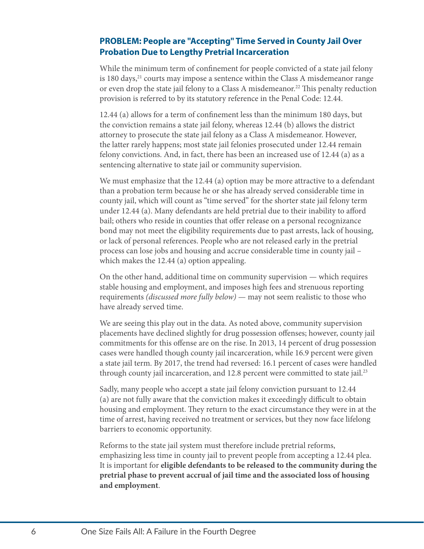#### **PROBLEM: People are "Accepting" Time Served in County Jail Over Probation Due to Lengthy Pretrial Incarceration**

While the minimum term of confinement for people convicted of a state jail felony is 180 days,<sup>21</sup> courts may impose a sentence within the Class A misdemeanor range or even drop the state jail felony to a Class A misdemeanor.<sup>22</sup> This penalty reduction provision is referred to by its statutory reference in the Penal Code: 12.44.

12.44 (a) allows for a term of confinement less than the minimum 180 days, but the conviction remains a state jail felony, whereas 12.44 (b) allows the district attorney to prosecute the state jail felony as a Class A misdemeanor. However, the latter rarely happens; most state jail felonies prosecuted under 12.44 remain felony convictions. And, in fact, there has been an increased use of 12.44 (a) as a sentencing alternative to state jail or community supervision.

We must emphasize that the 12.44 (a) option may be more attractive to a defendant than a probation term because he or she has already served considerable time in county jail, which will count as "time served" for the shorter state jail felony term under 12.44 (a). Many defendants are held pretrial due to their inability to afford bail; others who reside in counties that offer release on a personal recognizance bond may not meet the eligibility requirements due to past arrests, lack of housing, or lack of personal references. People who are not released early in the pretrial process can lose jobs and housing and accrue considerable time in county jail – which makes the 12.44 (a) option appealing.

On the other hand, additional time on community supervision — which requires stable housing and employment, and imposes high fees and strenuous reporting requirements *(discussed more fully below)* — may not seem realistic to those who have already served time.

We are seeing this play out in the data. As noted above, community supervision placements have declined slightly for drug possession offenses; however, county jail commitments for this offense are on the rise. In 2013, 14 percent of drug possession cases were handled though county jail incarceration, while 16.9 percent were given a state jail term. By 2017, the trend had reversed: 16.1 percent of cases were handled through county jail incarceration, and 12.8 percent were committed to state jail.<sup>23</sup>

Sadly, many people who accept a state jail felony conviction pursuant to 12.44 (a) are not fully aware that the conviction makes it exceedingly difficult to obtain housing and employment. They return to the exact circumstance they were in at the time of arrest, having received no treatment or services, but they now face lifelong barriers to economic opportunity.

Reforms to the state jail system must therefore include pretrial reforms, emphasizing less time in county jail to prevent people from accepting a 12.44 plea. It is important for **eligible defendants to be released to the community during the pretrial phase to prevent accrual of jail time and the associated loss of housing and employment**.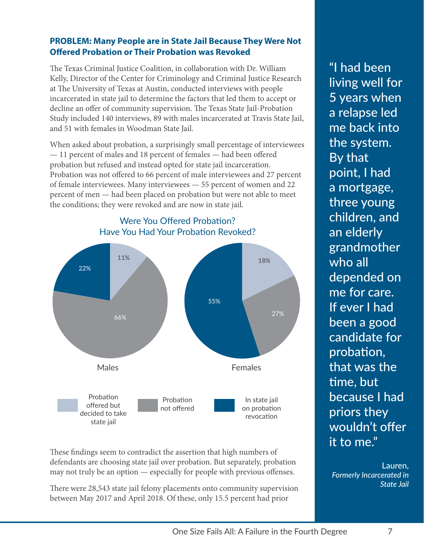#### **PROBLEM: Many People are in State Jail Because They Were Not Offered Probation or Their Probation was Revoked**

The Texas Criminal Justice Coalition, in collaboration with Dr. William Kelly, Director of the Center for Criminology and Criminal Justice Research at The University of Texas at Austin, conducted interviews with people incarcerated in state jail to determine the factors that led them to accept or decline an offer of community supervision. The Texas State Jail-Probation Study included 140 interviews, 89 with males incarcerated at Travis State Jail, and 51 with females in Woodman State Jail.

When asked about probation, a surprisingly small percentage of interviewees — 11 percent of males and 18 percent of females — had been offered probation but refused and instead opted for state jail incarceration. Probation was not offered to 66 percent of male interviewees and 27 percent of female interviewees. Many interviewees — 55 percent of women and 22 percent of men — had been placed on probation but were not able to meet the conditions; they were revoked and are now in state jail.



Were You Offered Probation? Have You Had Your Probation Revoked?

These findings seem to contradict the assertion that high numbers of defendants are choosing state jail over probation. But separately, probation may not truly be an option — especially for people with previous offenses.

There were 28,543 state jail felony placements onto community supervision between May 2017 and April 2018. Of these, only 15.5 percent had prior

"I had been living well for 5 years when a relapse led me back into the system. By that point, I had a mortgage, three young children, and an elderly grandmother who all depended on me for care. If ever I had been a good candidate for probation, that was the time, but because I had priors they wouldn't offer it to me."

Lauren,  *Formerly Incarcerated in State Jail*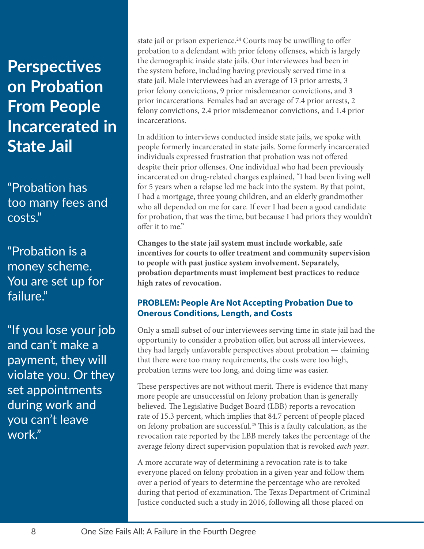## **Perspectives on Probation From People Incarcerated in State Jail**

"Probation has too many fees and costs."

"Probation is a money scheme. You are set up for failure."

"If you lose your job and can't make a payment, they will violate you. Or they set appointments during work and you can't leave work."

state jail or prison experience.<sup>[24](#page-23-23)</sup> Courts may be unwilling to offer probation to a defendant with prior felony offenses, which is largely the demographic inside state jails. Our interviewees had been in the system before, including having previously served time in a state jail. Male interviewees had an average of 13 prior arrests, 3 prior felony convictions, 9 prior misdemeanor convictions, and 3 prior incarcerations. Females had an average of 7.4 prior arrests, 2 felony convictions, 2.4 prior misdemeanor convictions, and 1.4 prior incarcerations.

In addition to interviews conducted inside state jails, we spoke with people formerly incarcerated in state jails. Some formerly incarcerated individuals expressed frustration that probation was not offered despite their prior offenses. One individual who had been previously incarcerated on drug-related charges explained, "I had been living well for 5 years when a relapse led me back into the system. By that point, I had a mortgage, three young children, and an elderly grandmother who all depended on me for care. If ever I had been a good candidate for probation, that was the time, but because I had priors they wouldn't offer it to me."

**Changes to the state jail system must include workable, safe incentives for courts to offer treatment and community supervision to people with past justice system involvement. Separately, probation departments must implement best practices to reduce high rates of revocation.**

#### **PROBLEM: People Are Not Accepting Probation Due to Onerous Conditions, Length, and Costs**

Only a small subset of our interviewees serving time in state jail had the opportunity to consider a probation offer, but across all interviewees, they had largely unfavorable perspectives about probation — claiming that there were too many requirements, the costs were too high, probation terms were too long, and doing time was easier.

These perspectives are not without merit. There is evidence that many more people are unsuccessful on felony probation than is generally believed. The Legislative Budget Board (LBB) reports a revocation rate of 15.3 percent, which implies that 84.7 percent of people placed on felony probation are successful[.25](#page-23-24) This is a faulty calculation, as the revocation rate reported by the LBB merely takes the percentage of the average felony direct supervision population that is revoked *each year*.

A more accurate way of determining a revocation rate is to take everyone placed on felony probation in a given year and follow them over a period of years to determine the percentage who are revoked during that period of examination. The Texas Department of Criminal Justice conducted such a study in 2016, following all those placed on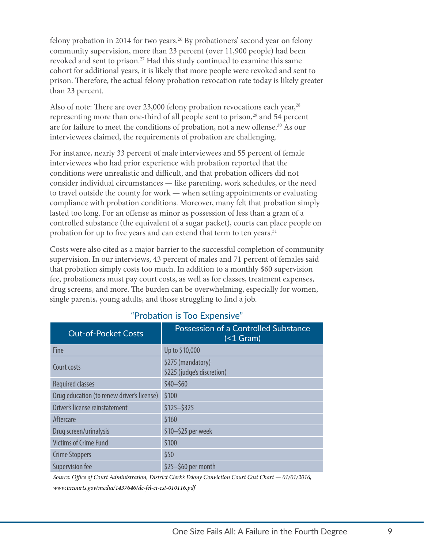felony probation in 2014 for two years.[26](#page-23-25) By probationers' second year on felony community supervision, more than 23 percent (over 11,900 people) had been revoked and sent to prison.<sup>27</sup> Had this study continued to examine this same cohort for additional years, it is likely that more people were revoked and sent to prison. Therefore, the actual felony probation revocation rate today is likely greater than 23 percent.

Also of note: There are over 23,000 felony probation revocations each year,  $28$ representing more than one-third of all people sent to prison,<sup>29</sup> and 54 percent are for failure to meet the conditions of probation, not a new offense[.30](#page-23-29) As our interviewees claimed, the requirements of probation are challenging.

For instance, nearly 33 percent of male interviewees and 55 percent of female interviewees who had prior experience with probation reported that the conditions were unrealistic and difficult, and that probation officers did not consider individual circumstances — like parenting, work schedules, or the need to travel outside the county for work — when setting appointments or evaluating compliance with probation conditions. Moreover, many felt that probation simply lasted too long. For an offense as minor as possession of less than a gram of a controlled substance (the equivalent of a sugar packet), courts can place people on probation for up to five years and can extend that term to ten years.<sup>31</sup>

Costs were also cited as a major barrier to the successful completion of community supervision. In our interviews, 43 percent of males and 71 percent of females said that probation simply costs too much. In addition to a monthly \$60 supervision fee, probationers must pay court costs, as well as for classes, treatment expenses, drug screens, and more. The burden can be overwhelming, especially for women, single parents, young adults, and those struggling to find a job.

| <b>Out-of-Pocket Costs</b>                 | Possession of a Controlled Substance<br>$($ $<$ 1 Gram $)$ |
|--------------------------------------------|------------------------------------------------------------|
| Fine                                       | Up to \$10,000                                             |
| Court costs                                | \$275 (mandatory)<br>\$225 (judge's discretion)            |
| <b>Required classes</b>                    | $$40 - $60$                                                |
| Drug education (to renew driver's license) | \$100                                                      |
| Driver's license reinstatement             | $$125 - $325$                                              |
| Aftercare                                  | \$160                                                      |
| Drug screen/urinalysis                     | \$10-\$25 per week                                         |
| <b>Victims of Crime Fund</b>               | \$100                                                      |
| <b>Crime Stoppers</b>                      | \$50                                                       |
| <b>Supervision fee</b>                     | \$25-\$60 per month                                        |

#### "Probation is Too Expensive"

*Source: Office of Court Administration, District Clerk's Felony Conviction Court Cost Chart — 01/01/2016, [www.txcourts.gov/media/1437646/dc-fel-ct-cst-010116.pdf](http://www.txcourts.gov/media/1437646/dc-fel-ct-cst-010116.pdf)*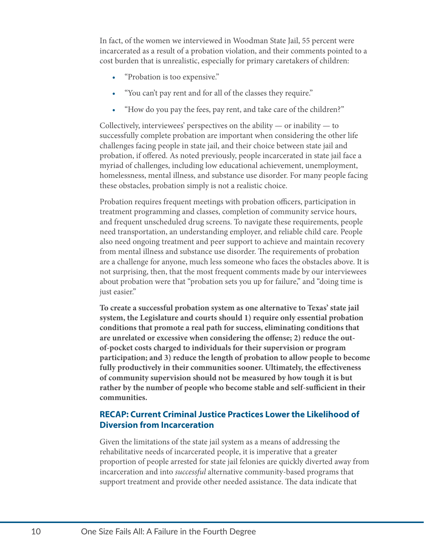In fact, of the women we interviewed in Woodman State Jail, 55 percent were incarcerated as a result of a probation violation, and their comments pointed to a cost burden that is unrealistic, especially for primary caretakers of children:

- "Probation is too expensive."
- "You can't pay rent and for all of the classes they require."
- "How do you pay the fees, pay rent, and take care of the children?"

Collectively, interviewees' perspectives on the ability — or inability — to successfully complete probation are important when considering the other life challenges facing people in state jail, and their choice between state jail and probation, if offered. As noted previously, people incarcerated in state jail face a myriad of challenges, including low educational achievement, unemployment, homelessness, mental illness, and substance use disorder. For many people facing these obstacles, probation simply is not a realistic choice.

Probation requires frequent meetings with probation officers, participation in treatment programming and classes, completion of community service hours, and frequent unscheduled drug screens. To navigate these requirements, people need transportation, an understanding employer, and reliable child care. People also need ongoing treatment and peer support to achieve and maintain recovery from mental illness and substance use disorder. The requirements of probation are a challenge for anyone, much less someone who faces the obstacles above. It is not surprising, then, that the most frequent comments made by our interviewees about probation were that "probation sets you up for failure," and "doing time is just easier."

**To create a successful probation system as one alternative to Texas' state jail system, the Legislature and courts should 1) require only essential probation conditions that promote a real path for success, eliminating conditions that are unrelated or excessive when considering the offense; 2) reduce the outof-pocket costs charged to individuals for their supervision or program participation; and 3) reduce the length of probation to allow people to become fully productively in their communities sooner. Ultimately, the effectiveness of community supervision should not be measured by how tough it is but rather by the number of people who become stable and self-sufficient in their communities.** 

#### **RECAP: Current Criminal Justice Practices Lower the Likelihood of Diversion from Incarceration**

Given the limitations of the state jail system as a means of addressing the rehabilitative needs of incarcerated people, it is imperative that a greater proportion of people arrested for state jail felonies are quickly diverted away from incarceration and into *successful* alternative community-based programs that support treatment and provide other needed assistance. The data indicate that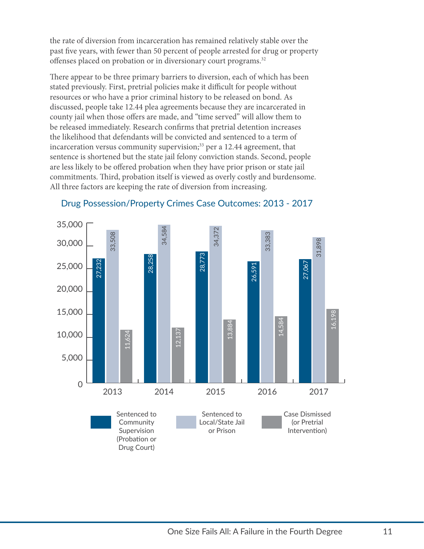the rate of diversion from incarceration has remained relatively stable over the past five years, with fewer than 50 percent of people arrested for drug or property offenses placed on probation or in diversionary court programs.<sup>32</sup>

There appear to be three primary barriers to diversion, each of which has been stated previously. First, pretrial policies make it difficult for people without resources or who have a prior criminal history to be released on bond. As discussed, people take 12.44 plea agreements because they are incarcerated in county jail when those offers are made, and "time served" will allow them to be released immediately. Research confirms that pretrial detention increases the likelihood that defendants will be convicted and sentenced to a term of incarceration versus community supervision;<sup>33</sup> per a 12.44 agreement, that sentence is shortened but the state jail felony conviction stands. Second, people are less likely to be offered probation when they have prior prison or state jail commitments. Third, probation itself is viewed as overly costly and burdensome. All three factors are keeping the rate of diversion from increasing.



#### Drug Possession/Property Crimes Case Outcomes: 2013 - 2017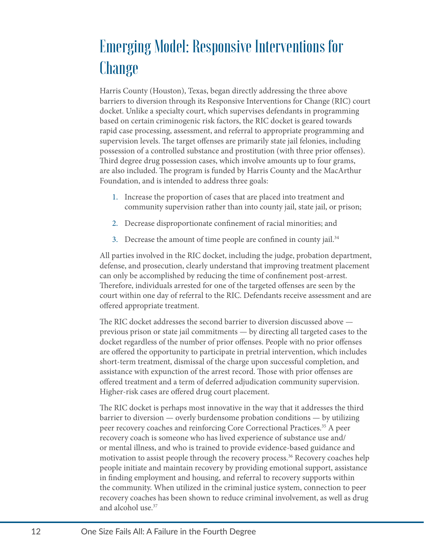# Emerging Model: Responsive Interventions for Change

Harris County (Houston), Texas, began directly addressing the three above barriers to diversion through its Responsive Interventions for Change (RIC) court docket. Unlike a specialty court, which supervises defendants in programming based on certain criminogenic risk factors, the RIC docket is geared towards rapid case processing, assessment, and referral to appropriate programming and supervision levels. The target offenses are primarily state jail felonies, including possession of a controlled substance and prostitution (with three prior offenses). Third degree drug possession cases, which involve amounts up to four grams, are also included. The program is funded by Harris County and the MacArthur Foundation, and is intended to address three goals:

- 1. Increase the proportion of cases that are placed into treatment and community supervision rather than into county jail, state jail, or prison;
- 2. Decrease disproportionate confinement of racial minorities; and
- 3. Decrease the amount of time people are confined in county jail.<sup>[34](#page-23-33)</sup>

All parties involved in the RIC docket, including the judge, probation department, defense, and prosecution, clearly understand that improving treatment placement can only be accomplished by reducing the time of confinement post-arrest. Therefore, individuals arrested for one of the targeted offenses are seen by the court within one day of referral to the RIC. Defendants receive assessment and are offered appropriate treatment.

The RIC docket addresses the second barrier to diversion discussed above previous prison or state jail commitments — by directing all targeted cases to the docket regardless of the number of prior offenses. People with no prior offenses are offered the opportunity to participate in pretrial intervention, which includes short-term treatment, dismissal of the charge upon successful completion, and assistance with expunction of the arrest record. Those with prior offenses are offered treatment and a term of deferred adjudication community supervision. Higher-risk cases are offered drug court placement.

The RIC docket is perhaps most innovative in the way that it addresses the third barrier to diversion — overly burdensome probation conditions — by utilizing peer recovery coaches and reinforcing Core Correctional Practices.[35](#page-23-34) A peer recovery coach is someone who has lived experience of substance use and/ or mental illness, and who is trained to provide evidence-based guidance and motivation to assist people through the recovery process.<sup>36</sup> Recovery coaches help people initiate and maintain recovery by providing emotional support, assistance in finding employment and housing, and referral to recovery supports within the community. When utilized in the criminal justice system, connection to peer recovery coaches has been shown to reduce criminal involvement, as well as drug and alcohol use.[37](#page-23-36)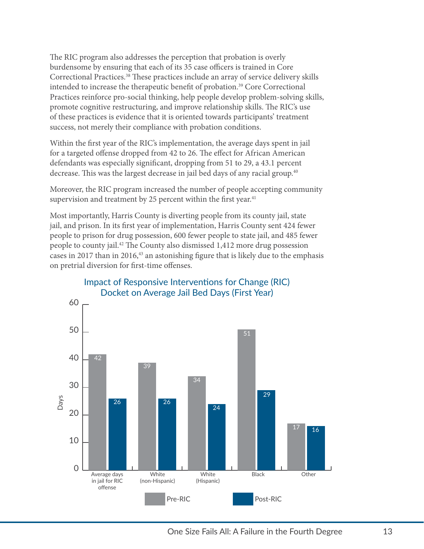The RIC program also addresses the perception that probation is overly burdensome by ensuring that each of its 35 case officers is trained in Core Correctional Practices.[38](#page-23-37) These practices include an array of service delivery skills intended to increase the therapeutic benefit of probation[.39](#page-23-38) Core Correctional Practices reinforce pro-social thinking, help people develop problem-solving skills, promote cognitive restructuring, and improve relationship skills. The RIC's use of these practices is evidence that it is oriented towards participants' treatment success, not merely their compliance with probation conditions.

Within the first year of the RIC's implementation, the average days spent in jail for a targeted offense dropped from 42 to 26. The effect for African American defendants was especially significant, dropping from 51 to 29, a 43.1 percent decrease. This was the largest decrease in jail bed days of any racial group.<sup>[40](#page-23-39)</sup>

Moreover, the RIC program increased the number of people accepting community supervision and treatment by 25 percent within the first year. $41$ 

Most importantly, Harris County is diverting people from its county jail, state jail, and prison. In its first year of implementation, Harris County sent 424 fewer people to prison for drug possession, 600 fewer people to state jail, and 485 fewer people to county jail.[42](#page-23-41) The County also dismissed 1,412 more drug possession cases in 2017 than in 2016, $43$  an astonishing figure that is likely due to the emphasis on pretrial diversion for first-time offenses.



#### Impact of Responsive Interventions for Change (RIC) Docket on Average Jail Bed Days (First Year)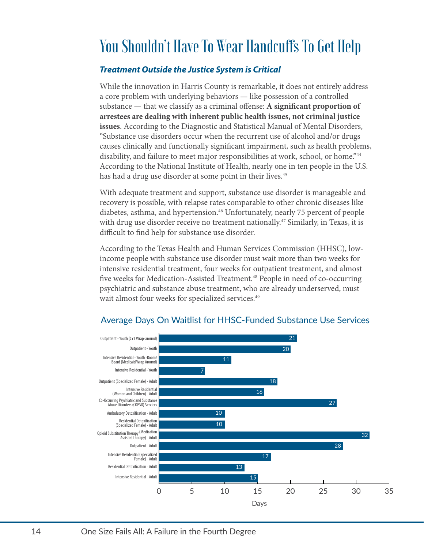## You Shouldn't Have To Wear Handcuffs To Get Help

#### *Treatment Outside the Justice System is Critical*

While the innovation in Harris County is remarkable, it does not entirely address a core problem with underlying behaviors — like possession of a controlled substance — that we classify as a criminal offense: **A significant proportion of arrestees are dealing with inherent public health issues, not criminal justice issues**. According to the Diagnostic and Statistical Manual of Mental Disorders, "Substance use disorders occur when the recurrent use of alcohol and/or drugs causes clinically and functionally significant impairment, such as health problems, disability, and failure to meet major responsibilities at work, school, or home.["44](#page-23-43)  According to the National Institute of Health, nearly one in ten people in the U.S. has had a drug use disorder at some point in their lives.<sup>45</sup>

With adequate treatment and support, substance use disorder is manageable and recovery is possible, with relapse rates comparable to other chronic diseases like diabetes, asthma, and hypertension[.46](#page-23-45) Unfortunately, nearly 75 percent of people with drug use disorder receive no treatment nationally.<sup>47</sup> Similarly, in Texas, it is difficult to find help for substance use disorder.

According to the Texas Health and Human Services Commission (HHSC), lowincome people with substance use disorder must wait more than two weeks for intensive residential treatment, four weeks for outpatient treatment, and almost five weeks for Medication-Assisted Treatment.<sup>48</sup> People in need of co-occurring psychiatric and substance abuse treatment, who are already underserved, must wait almost four weeks for specialized services.<sup>49</sup>



#### Average Days On Waitlist for HHSC-Funded Substance Use Services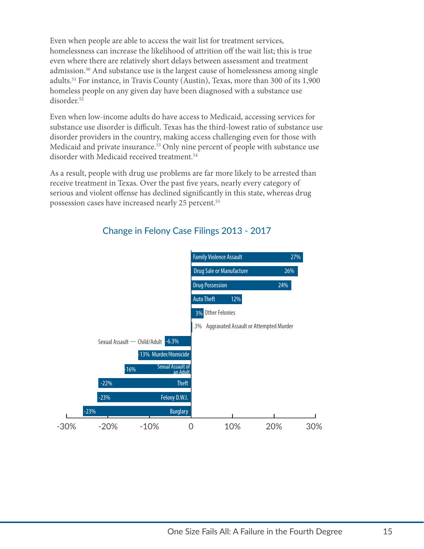Even when people are able to access the wait list for treatment services, homelessness can increase the likelihood of attrition off the wait list; this is true even where there are relatively short delays between assessment and treatment admission.[50](#page-24-1) And substance use is the largest cause of homelessness among single adults.[51](#page-24-2) For instance, in Travis County (Austin), Texas, more than 300 of its 1,900 homeless people on any given day have been diagnosed with a substance use disorder[.52](#page-24-3)

Even when low-income adults do have access to Medicaid, accessing services for substance use disorder is difficult. Texas has the third-lowest ratio of substance use disorder providers in the country, making access challenging even for those with Medicaid and private insurance.<sup>[53](#page-24-4)</sup> Only nine percent of people with substance use disorder with Medicaid received treatment.<sup>[54](#page-24-5)</sup>

As a result, people with drug use problems are far more likely to be arrested than receive treatment in Texas. Over the past five years, nearly every category of serious and violent offense has declined significantly in this state, whereas drug possession cases have increased nearly 25 percent.<sup>55</sup>



#### Change in Felony Case Filings 2013 - 2017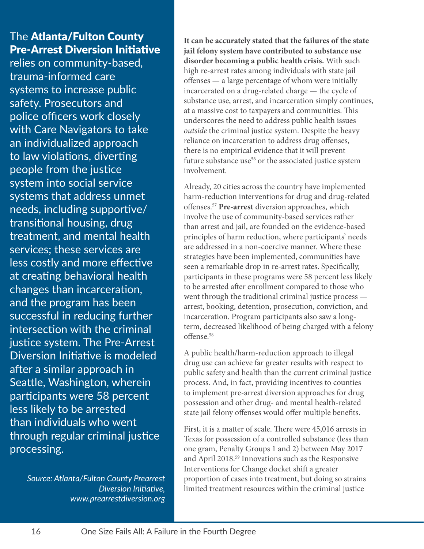### The Atlanta/Fulton County Pre-Arrest Diversion Initiative

relies on community-based, trauma-informed care systems to increase public safety. Prosecutors and police officers work closely with Care Navigators to take an individualized approach to law violations, diverting people from the justice system into social service systems that address unmet needs, including supportive/ transitional housing, drug treatment, and mental health services; these services are less costly and more effective at creating behavioral health changes than incarceration, and the program has been successful in reducing further intersection with the criminal justice system. The Pre-Arrest Diversion Initiative is modeled after a similar approach in Seattle, Washington, wherein participants were 58 percent less likely to be arrested than individuals who went through regular criminal justice processing.

> *Source: Atlanta/Fulton County Prearrest Diversion Initiative, [www.prearrestdiversion.org](http://www.prearrestdiversion.org)*

**It can be accurately stated that the failures of the state jail felony system have contributed to substance use disorder becoming a public health crisis.** With such high re-arrest rates among individuals with state jail offenses — a large percentage of whom were initially incarcerated on a drug-related charge — the cycle of substance use, arrest, and incarceration simply continues, at a massive cost to taxpayers and communities. This underscores the need to address public health issues *outside* the criminal justice system. Despite the heavy reliance on incarceration to address drug offenses, there is no empirical evidence that it will prevent future substance use<sup>[56](#page-24-7)</sup> or the associated justice system involvement.

Already, 20 cities across the country have implemented harm-reduction interventions for drug and drug-related offenses[.57](#page-24-8) **Pre-arrest** diversion approaches, which involve the use of community-based services rather than arrest and jail, are founded on the evidence-based principles of harm reduction, where participants' needs are addressed in a non-coercive manner. Where these strategies have been implemented, communities have seen a remarkable drop in re-arrest rates. Specifically, participants in these programs were 58 percent less likely to be arrested after enrollment compared to those who went through the traditional criminal justice process arrest, booking, detention, prosecution, conviction, and incarceration. Program participants also saw a longterm, decreased likelihood of being charged with a felony offense.<sup>[58](#page-24-9)</sup>

A public health/harm-reduction approach to illegal drug use can achieve far greater results with respect to public safety and health than the current criminal justice process. And, in fact, providing incentives to counties to implement pre-arrest diversion approaches for drug possession and other drug- and mental health-related state jail felony offenses would offer multiple benefits.

First, it is a matter of scale. There were 45,016 arrests in Texas for possession of a controlled substance (less than one gram, Penalty Groups 1 and 2) between May 2017 and April 2018.[59](#page-24-10) Innovations such as the Responsive Interventions for Change docket shift a greater proportion of cases into treatment, but doing so strains limited treatment resources within the criminal justice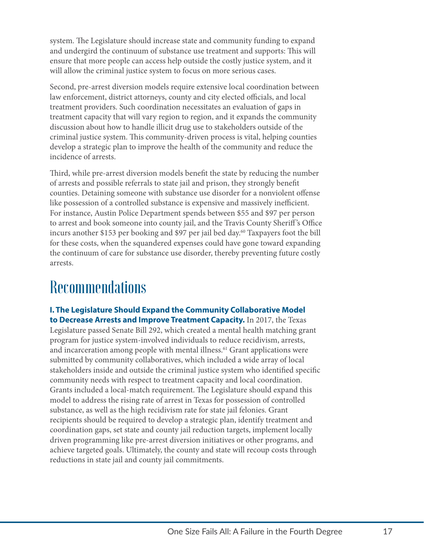system. The Legislature should increase state and community funding to expand and undergird the continuum of substance use treatment and supports: This will ensure that more people can access help outside the costly justice system, and it will allow the criminal justice system to focus on more serious cases.

Second, pre-arrest diversion models require extensive local coordination between law enforcement, district attorneys, county and city elected officials, and local treatment providers. Such coordination necessitates an evaluation of gaps in treatment capacity that will vary region to region, and it expands the community discussion about how to handle illicit drug use to stakeholders outside of the criminal justice system. This community-driven process is vital, helping counties develop a strategic plan to improve the health of the community and reduce the incidence of arrests.

Third, while pre-arrest diversion models benefit the state by reducing the number of arrests and possible referrals to state jail and prison, they strongly benefit counties. Detaining someone with substance use disorder for a nonviolent offense like possession of a controlled substance is expensive and massively inefficient. For instance, Austin Police Department spends between \$55 and \$97 per person to arrest and book someone into county jail, and the Travis County Sheriff 's Office incurs another \$153 per booking and \$97 per jail bed day.<sup>[60](#page-24-11)</sup> Taxpayers foot the bill for these costs, when the squandered expenses could have gone toward expanding the continuum of care for substance use disorder, thereby preventing future costly arrests.

## **Recommendations**

**I. The Legislature Should Expand the Community Collaborative Model to Decrease Arrests and Improve Treatment Capacity.** In 2017, the Texas Legislature passed Senate Bill 292, which created a mental health matching grant program for justice system-involved individuals to reduce recidivism, arrests, and incarceration among people with mental illness.<sup>61</sup> Grant applications were submitted by community collaboratives, which included a wide array of local stakeholders inside and outside the criminal justice system who identified specific community needs with respect to treatment capacity and local coordination. Grants included a local-match requirement. The Legislature should expand this model to address the rising rate of arrest in Texas for possession of controlled substance, as well as the high recidivism rate for state jail felonies. Grant recipients should be required to develop a strategic plan, identify treatment and coordination gaps, set state and county jail reduction targets, implement locally driven programming like pre-arrest diversion initiatives or other programs, and achieve targeted goals. Ultimately, the county and state will recoup costs through reductions in state jail and county jail commitments.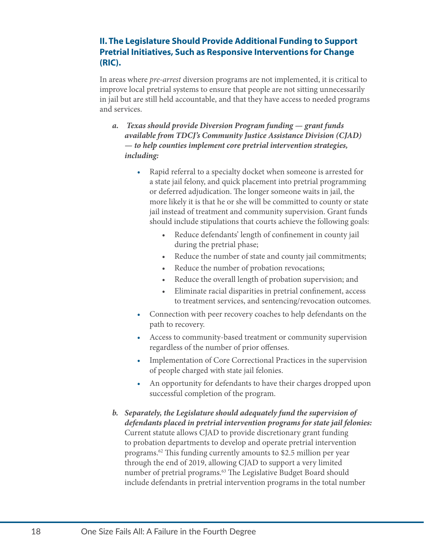#### **II. The Legislature Should Provide Additional Funding to Support Pretrial Initiatives, Such as Responsive Interventions for Change (RIC).**

In areas where *pre-arrest* diversion programs are not implemented, it is critical to improve local pretrial systems to ensure that people are not sitting unnecessarily in jail but are still held accountable, and that they have access to needed programs and services.

- *a. Texas should provide Diversion Program funding grant funds available from TDCJ's Community Justice Assistance Division (CJAD) — to help counties implement core pretrial intervention strategies, including:*
	- Rapid referral to a specialty docket when someone is arrested for a state jail felony, and quick placement into pretrial programming or deferred adjudication. The longer someone waits in jail, the more likely it is that he or she will be committed to county or state jail instead of treatment and community supervision. Grant funds should include stipulations that courts achieve the following goals:
		- Reduce defendants' length of confinement in county jail during the pretrial phase;
		- Reduce the number of state and county jail commitments;
		- Reduce the number of probation revocations;
		- Reduce the overall length of probation supervision; and
		- Eliminate racial disparities in pretrial confinement, access to treatment services, and sentencing/revocation outcomes.
	- Connection with peer recovery coaches to help defendants on the path to recovery.
	- Access to community-based treatment or community supervision regardless of the number of prior offenses.
	- Implementation of Core Correctional Practices in the supervision of people charged with state jail felonies.
	- An opportunity for defendants to have their charges dropped upon successful completion of the program.
- *b. Separately, the Legislature should adequately fund the supervision of defendants placed in pretrial intervention programs for state jail felonies:*  Current statute allows CJAD to provide discretionary grant funding to probation departments to develop and operate pretrial intervention programs.[62](#page-24-13) This funding currently amounts to \$2.5 million per year through the end of 2019, allowing CJAD to support a very limited number of pretrial programs.<sup>63</sup> The Legislative Budget Board should include defendants in pretrial intervention programs in the total number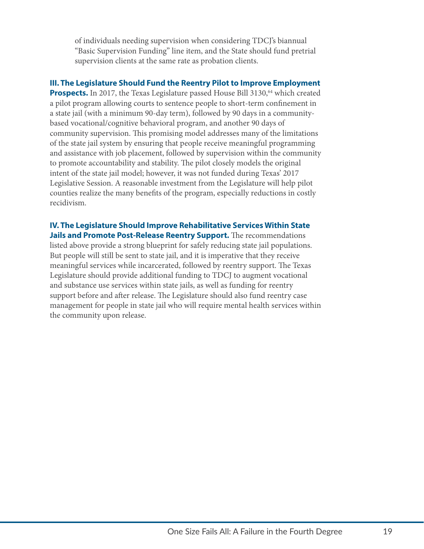of individuals needing supervision when considering TDCJ's biannual "Basic Supervision Funding" line item, and the State should fund pretrial supervision clients at the same rate as probation clients.

**III. The Legislature Should Fund the Reentry Pilot to Improve Employment Prospects.** In 2017, the Texas Legislature passed House Bill 3130,<sup>64</sup> which created a pilot program allowing courts to sentence people to short-term confinement in a state jail (with a minimum 90-day term), followed by 90 days in a communitybased vocational/cognitive behavioral program, and another 90 days of community supervision. This promising model addresses many of the limitations of the state jail system by ensuring that people receive meaningful programming and assistance with job placement, followed by supervision within the community to promote accountability and stability. The pilot closely models the original intent of the state jail model; however, it was not funded during Texas' 2017 Legislative Session. A reasonable investment from the Legislature will help pilot counties realize the many benefits of the program, especially reductions in costly recidivism.

#### **IV. The Legislature Should Improve Rehabilitative Services Within State Jails and Promote Post-Release Reentry Support.** The recommendations

listed above provide a strong blueprint for safely reducing state jail populations. But people will still be sent to state jail, and it is imperative that they receive meaningful services while incarcerated, followed by reentry support. The Texas Legislature should provide additional funding to TDCJ to augment vocational and substance use services within state jails, as well as funding for reentry support before and after release. The Legislature should also fund reentry case management for people in state jail who will require mental health services within the community upon release.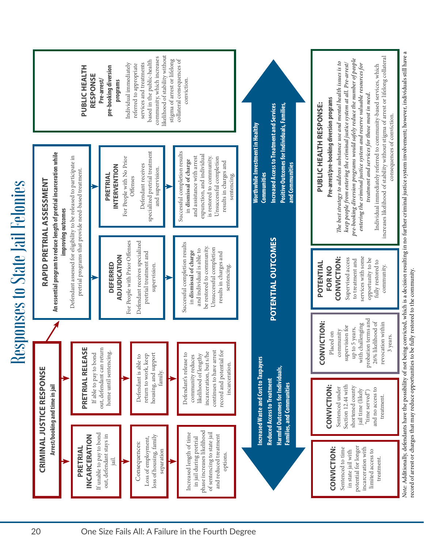| <b>State Jail Felonies</b><br>$\Box$<br>esponses<br>$\approx$ | referred to appropriate<br>services and treatments<br>based in the public-health<br>community, which increases<br>likelihood of stability without<br>stigma of arrest or lifelong<br>collateral consequences of<br>Individual immediately<br><b>PUBLIC HEALTH<br/>RESPONSE</b><br>pre-booking diversion<br>programs<br>conviction.<br>Pre-arrest/                                                                                                                                                                                                                                                                                                                                                                                                                                                                                                                                                                   | nviction                                                                                                                                                                                                                                                                                                                                                                                                                                                                                                                                                                          |
|---------------------------------------------------------------|---------------------------------------------------------------------------------------------------------------------------------------------------------------------------------------------------------------------------------------------------------------------------------------------------------------------------------------------------------------------------------------------------------------------------------------------------------------------------------------------------------------------------------------------------------------------------------------------------------------------------------------------------------------------------------------------------------------------------------------------------------------------------------------------------------------------------------------------------------------------------------------------------------------------|-----------------------------------------------------------------------------------------------------------------------------------------------------------------------------------------------------------------------------------------------------------------------------------------------------------------------------------------------------------------------------------------------------------------------------------------------------------------------------------------------------------------------------------------------------------------------------------|
|                                                               | Positive Outcomes for Individuals, Families,<br>and Communities<br><b>Increased Access to Treatment and Services</b><br>Worthwhile Investment in Healthy<br>Communities<br>Defendant receives<br>specialized pretrial treatment<br>sults<br><b>An essential program to reduce length of pretrial incarceration while</b><br><b>improving outcomes</b><br>Defendant assessed for eligibility to be released to participate in<br>pretrial programs that provide need-based treatment.<br>C <sub>1</sub> in <b>dismissa c</b> <sub>1</sub><br>and assistance with arrest<br>expunction, and individual<br>is restored to community.<br>Unsuccessful completion<br>Chauccessful completion<br>For People with No Prior<br>Offenses<br>ccessful completion resu<br>in dismissal of charge<br>INTERVENTION<br>vision<br>PRETRIAL<br>results in charges<br>sentencing.<br>RAPID PRETRIAL ASSESSMENT<br>$\mathbb{R}$<br>šĭ | no further criminal justice system involvement; however, individuals still have<br>Individual immediately referred to community-based services, which<br>reases likelihood of stability without stigma of arrest or lifelong collateral<br><b>Pre-arrest/pre-booking diversion programs</b><br>The best strategy to address substance use and mental health issues is to<br>keep people from entering the criminal justice system at all. Pre-arrest/<br>pre-booking diversion programs<br><b>PUBLIC HEALTH RESPONSE:</b><br>$\alpha$ f co<br>quenc<br>$\overline{m}$<br>increase |
|                                                               | POTENTIAL OUTCOMES<br>Defendant receives specialized<br>pretrial treatment and<br>For People with Prior Offenses<br>Successful completion results<br>in dismissal of charge<br>and individual is able to<br>be restored to community.<br>Unsuccessful completion<br>results in charges and<br>results in charges and<br>sentencing.<br>ADJUDICATION<br><b>DEFERRED</b><br>supervision.                                                                                                                                                                                                                                                                                                                                                                                                                                                                                                                              | 드.<br>Note: Additionally, defendants have the possibility of not being convicted, which is a decision resulting record of arrest or charges that may reduce opportunities to be fully restored to the community.<br>Supervised access to treatment and services with some services with some opportunity to be fully restored to community.<br>CONVICTION:<br>POTENTIAL<br>FOR NO                                                                                                                                                                                                 |
|                                                               | PRETRIAL RELEASE<br>If able to pay to bond<br>out, defendant can return<br>home until sentencing.<br>$\frac{rest}{160}$<br>sthy<br>s/he<br>$\circ$<br>Defendant is able to<br>return to work, keep<br>housing, and support<br>family.<br>E                                                                                                                                                                                                                                                                                                                                                                                                                                                                                                                                                                                                                                                                          | with challenging probation terms and<br>$26\%$ likelihood of ${\tt revocation}$ within<br>CONVICTION:<br><sup>171</sup><br>up to 5 years,<br><i>r</i> ith challenging<br>Placed on<br>community<br>supervision for<br>3 years.                                                                                                                                                                                                                                                                                                                                                    |
|                                                               | community reduces<br>likelihood of lengthy<br>incarceration, but s/h<br>continues to have arre<br>record and potential f<br>incarceration.<br>ncreased Waste and Cost to Taxpayer<br>Reduced Access to Treatment<br>Harmful Outcomes for Individuals,<br>Families, and Communities<br>Defendant's rele<br><b>CRIMINAL JUSTICE RESPONSE</b><br>Arrest/booking and time in jail<br>incarce                                                                                                                                                                                                                                                                                                                                                                                                                                                                                                                            | CONVICTION:<br>Sentenced under<br>Section 12.44 with<br>shortened county<br>in lime (likely<br>ime served")<br>"ime served")<br>and no access to<br>treatment.                                                                                                                                                                                                                                                                                                                                                                                                                    |
|                                                               | in jail during pretrial<br>phase increases likelihood<br>of sentencing to state jail<br>and reduced treatment<br>If unable to pay to bond<br>out, defendant stays in $% \left\vert \cdot \right\rangle$<br>Increased length of time<br>INCARCERATION<br>Loss of employment,<br>loss of housing, family<br>separation<br>Consequences:<br>PRETRIAL<br>options.<br>$\overline{a}$<br>E                                                                                                                                                                                                                                                                                                                                                                                                                                                                                                                                | Sentenced to time<br>in state jail with<br>potential for longer<br>incarceration with<br>imited access to<br>CONVICTION:<br>treatment.                                                                                                                                                                                                                                                                                                                                                                                                                                            |
|                                                               | One Size Fails All: A Failure in the Fourth Degree<br>20                                                                                                                                                                                                                                                                                                                                                                                                                                                                                                                                                                                                                                                                                                                                                                                                                                                            |                                                                                                                                                                                                                                                                                                                                                                                                                                                                                                                                                                                   |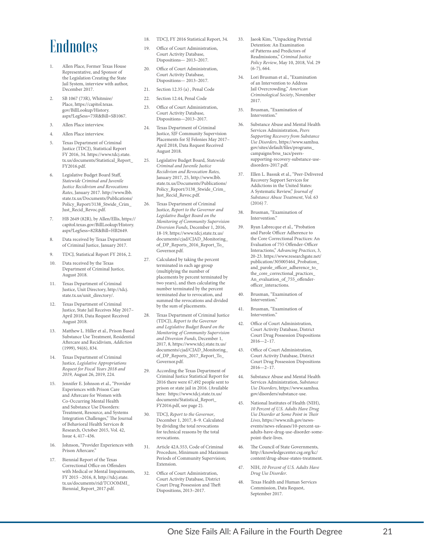## Endnotes

- <span id="page-23-0"></span>1. Allen Place, Former Texas House Representative, and Sponsor of the Legislation Creating the State Jail System, interview with author, December 2017.
- <span id="page-23-1"></span>2. SB 1067 (73R), Whitmire/ Place, [https://capitol.texas.](https://capitol.texas.gov/BillLookup/History.aspx?LegSess=73R&Bill=SB1067) [gov/BillLookup/History.](https://capitol.texas.gov/BillLookup/History.aspx?LegSess=73R&Bill=SB1067) [aspx?LegSess=73R&Bill=SB1067](https://capitol.texas.gov/BillLookup/History.aspx?LegSess=73R&Bill=SB1067).
- <span id="page-23-2"></span>3. Allen Place interview.
- <span id="page-23-3"></span>4. Allen Place interview.
- <span id="page-23-4"></span>Texas Department of Criminal Justice (TDCJ), Statistical Report FY 2016, 34. [https://www.tdcj.state.](https://www.tdcj.state.tx.us/documents/Statistical_Report_FY2016.pdf) [tx.us/documents/Statistical\\_Report\\_](https://www.tdcj.state.tx.us/documents/Statistical_Report_FY2016.pdf) [FY2016.pdf.](https://www.tdcj.state.tx.us/documents/Statistical_Report_FY2016.pdf)
- <span id="page-23-5"></span>Legislative Budget Board Staff, *Statewide Criminal and Juvenile Justice Recidivism and Revocations Rates*, January 2017. [http://www.lbb.](http://www.lbb.state.tx.us/Documents/Publications/Policy_Report/3138_Stwide_Crim_Just_Recid_Revoc.pdf) [state.tx.us/Documents/Publications/](http://www.lbb.state.tx.us/Documents/Publications/Policy_Report/3138_Stwide_Crim_Just_Recid_Revoc.pdf) [Policy\\_Report/3138\\_Stwide\\_Crim\\_](http://www.lbb.state.tx.us/Documents/Publications/Policy_Report/3138_Stwide_Crim_Just_Recid_Revoc.pdf) [Just\\_Recid\\_Revoc.pdf.](http://www.lbb.state.tx.us/Documents/Publications/Policy_Report/3138_Stwide_Crim_Just_Recid_Revoc.pdf)
- <span id="page-23-6"></span>7. HB 2649 (82R), by Allen/Ellis, [https://](https://capitol.texas.gov/BillLookup/History.aspx?LegSess=82R&Bill=HB2649) [capitol.texas.gov/BillLookup/History.](https://capitol.texas.gov/BillLookup/History.aspx?LegSess=82R&Bill=HB2649) [aspx?LegSess=82R&Bill=HB2649](https://capitol.texas.gov/BillLookup/History.aspx?LegSess=82R&Bill=HB2649).
- <span id="page-23-7"></span>8. Data received by Texas Department of Criminal Justice, January 2017.
- <span id="page-23-8"></span>9. TDCJ, Statistical Report FY 2016, 2.
- <span id="page-23-9"></span>10. Data received by the Texas Department of Criminal Justice, August 2018.
- <span id="page-23-10"></span>11. Texas Department of Criminal Justice, Unit Directory, [http://tdcj.](http://tdcj.state.tx.us/unit_directory/) [state.tx.us/unit\\_directory/.](http://tdcj.state.tx.us/unit_directory/)
- <span id="page-23-11"></span>12. Texas Department of Criminal Justice, State Jail Receives May 2017– April 2018, Data Request Received August 2018.
- <span id="page-23-12"></span>13. Matthew L. Hiller et al., Prison Based Substance Use Treatment, Residential Aftercare and Recidivism, *Addiction* (1999), 94(6), 834.
- <span id="page-23-13"></span>14. Texas Department of Criminal Justice, *Legislative Appropriations Request for Fiscal Years 2018 and 2019*, August 26, 2019, 224.
- <span id="page-23-14"></span>15. Jennifer E. Johnson et al., "Provider Experiences with Prison Care and Aftercare for Women with Co-Occurring Mental Health and Substance Use Disorders: Treatment, Resource, and Systems Integration Challenges," The Journal of Behavioral Health Services & Research, October 2015, Vol. 42, Issue 4, 417–436.
- <span id="page-23-15"></span>16. Johnson, "Provider Experiences with Prison Aftercare."
- <span id="page-23-16"></span>17. Biennial Report of the Texas Correctional Office on Offenders with Medical or Mental Impairments, FY 2015 –2016, 8, [http://tdcj.state.](http://tdcj.state.tx.us/documents/rid/TCOOMMI_Biennial_Report_2017.pdf) [tx.us/documents/rid/TCOOMMI\\_](http://tdcj.state.tx.us/documents/rid/TCOOMMI_Biennial_Report_2017.pdf) [Biennial\\_Report\\_2017.pdf](http://tdcj.state.tx.us/documents/rid/TCOOMMI_Biennial_Report_2017.pdf).
- <span id="page-23-17"></span>18. TDCJ, FY 2016 Statistical Report, 34.
- <span id="page-23-18"></span>19. Office of Court Administration, Court Activity Database, Dispositions— 2013–2017.
- <span id="page-23-19"></span>20. Office of Court Administration, Court Activity Database, Dispositions— 2013–2017.
- <span id="page-23-20"></span>21. Section 12.35 (a) , Penal Code
- <span id="page-23-21"></span>22. Section 12.44, Penal Code
- <span id="page-23-22"></span>23. Office of Court Administration, Court Activity Database, Dispositions—2013–2017.
- <span id="page-23-23"></span>24. Texas Department of Criminal Justice, SJF Community Supervision Placements for SJ Felonies May 2017– April 2018, Data Request Received August 2018.
- <span id="page-23-24"></span>25. Legislative Budget Board, *Statewide Criminal and Juvenile Justice Recidivism and Revocation Rates*, January 2017, 25, [http://www.lbb.](http://www.lbb.state.tx.us/Documents/Publications/Policy_Report/3138_Stwide_Crim_Just_Recid_Revoc.pdf) [state.tx.us/Documents/Publications/](http://www.lbb.state.tx.us/Documents/Publications/Policy_Report/3138_Stwide_Crim_Just_Recid_Revoc.pdf) [Policy\\_Report/3138\\_Stwide\\_Crim\\_](http://www.lbb.state.tx.us/Documents/Publications/Policy_Report/3138_Stwide_Crim_Just_Recid_Revoc.pdf) [Just\\_Recid\\_Revoc.pdf.](http://www.lbb.state.tx.us/Documents/Publications/Policy_Report/3138_Stwide_Crim_Just_Recid_Revoc.pdf)
- <span id="page-23-25"></span>26. Texas Department of Criminal Justice, *Report to the Governor and Legislative Budget Board on the Monitoring of Community Supervision Diversion Funds*, December 1, 2016, 18-19, [https://www.tdcj.state.tx.us/](https://www.tdcj.state.tx.us/documents/cjad/CJAD_Monitoring_of_DP_Reports_2016_Report_To_Governor.pdf) [documents/cjad/CJAD\\_Monitoring\\_](https://www.tdcj.state.tx.us/documents/cjad/CJAD_Monitoring_of_DP_Reports_2016_Report_To_Governor.pdf) [of\\_DP\\_Reports\\_2016\\_Report\\_To\\_](https://www.tdcj.state.tx.us/documents/cjad/CJAD_Monitoring_of_DP_Reports_2016_Report_To_Governor.pdf) [Governor.pdf.](https://www.tdcj.state.tx.us/documents/cjad/CJAD_Monitoring_of_DP_Reports_2016_Report_To_Governor.pdf)
- <span id="page-23-26"></span>27. Calculated by taking the percent terminated in each age group (multiplying the number of placements by percent terminated by two years), and then calculating the number terminated by the percent terminated due to revocation, and summed the revocations and divided by the sum of placements.
- <span id="page-23-27"></span>28. Texas Department of Criminal Justice (TDCJ), *Report to the Governor and Legislative Budget Board on the Monitoring of Community Supervision and Diversion Funds*, December 1, 2017, 8, [https://www.tdcj.state.tx.us/](https://www.tdcj.state.tx.us/documents/cjad/CJAD_Monitoring_of_DP_Reports_2017_Report_To_Governor.pdf) documents/cjad/CJAD\_Monitoring [of\\_DP\\_Reports\\_2017\\_Report\\_To\\_](https://www.tdcj.state.tx.us/documents/cjad/CJAD_Monitoring_of_DP_Reports_2017_Report_To_Governor.pdf) [Governor.pdf.](https://www.tdcj.state.tx.us/documents/cjad/CJAD_Monitoring_of_DP_Reports_2017_Report_To_Governor.pdf)
- <span id="page-23-28"></span>29. According the Texas Department of Criminal Justice Statistical Report for 2016 there were 67,492 people sent to prison or state jail in 2016. (Available here: [https://www.tdcj.state.tx.us/](https://www.tdcj.state.tx.us/documents/Statistical_Report_FY2016.pdf) [documents/Statistical\\_Report\\_](https://www.tdcj.state.tx.us/documents/Statistical_Report_FY2016.pdf) [FY2016.pdf,](https://www.tdcj.state.tx.us/documents/Statistical_Report_FY2016.pdf) see page 2).
- <span id="page-23-29"></span>30. TDCJ, *Report to the Governor*, December 1, 2017, 8–9. Calculated by dividing the total revocations for technical reasons by the total revocations.
- <span id="page-23-30"></span>31. Article 42A.553, Code of Criminal Procedure, Minimum and Maximum Periods of Community Supervision; Extension.
- <span id="page-23-31"></span>32. Office of Court Administration, Court Activity Database, District Court Drug Possession and Theft Dispositions, 2013–2017.
- <span id="page-23-32"></span>33. Jaeok Kim, "Unpacking Pretrial Detention: An Examination of Patterns and Predictors of Readmissions," *Criminal Justice Policy Review*, May 10, 2018, Vol. 29 (6-7), 664.
- <span id="page-23-33"></span>34. Lori Brusman et al., "Examination of an Intervention to Address Jail Overcrowding," *American Criminological Society*, November 2017.
- <span id="page-23-34"></span>35. Brusman, "Examination of Intervention."
- <span id="page-23-35"></span>36. Substance Abuse and Mental Health Services Administration, *Peers Supporting Recovery from Substance Use Disorders*, [https://www.samhsa.](https://www.samhsa.gov/sites/default/files/programs_campaigns/brss_tacs/peers-supporting-recovery-substance-use-disorders-2017.pdf) [gov/sites/default/files/programs\\_](https://www.samhsa.gov/sites/default/files/programs_campaigns/brss_tacs/peers-supporting-recovery-substance-use-disorders-2017.pdf) [campaigns/brss\\_tacs/peers](https://www.samhsa.gov/sites/default/files/programs_campaigns/brss_tacs/peers-supporting-recovery-substance-use-disorders-2017.pdf)[supporting-recovery-substance-use](https://www.samhsa.gov/sites/default/files/programs_campaigns/brss_tacs/peers-supporting-recovery-substance-use-disorders-2017.pdf)[disorders-2017.pdf.](https://www.samhsa.gov/sites/default/files/programs_campaigns/brss_tacs/peers-supporting-recovery-substance-use-disorders-2017.pdf)
- <span id="page-23-36"></span>37. Ellen L. Bassuk et al., "Peer-Delivered Recovery Support Services for Addictions in the United States: A Systematic Review," *Journal of Substance Abuse Treatment*, Vol. 63 (2016) 7.
- <span id="page-23-37"></span>38. Brusman, "Examination of Intervention."
- <span id="page-23-38"></span>39. Ryan Labrecque et al., "Probation and Parole Officer Adherence to the Core Correctional Practices: An Evaluation of 755 Offender-Officer Interactions," *Advancing Practices*, 3, 20-23. [https://www.researchgate.net/](https://www.researchgate.net/publication/305005464_Probation_and_parole_officer_adherence_to_the_core_correctional_practices_An_evaluation_of_755_offender-officer_interactions) [publication/305005464\\_Probation\\_](https://www.researchgate.net/publication/305005464_Probation_and_parole_officer_adherence_to_the_core_correctional_practices_An_evaluation_of_755_offender-officer_interactions) [and\\_parole\\_officer\\_adherence\\_to\\_](https://www.researchgate.net/publication/305005464_Probation_and_parole_officer_adherence_to_the_core_correctional_practices_An_evaluation_of_755_offender-officer_interactions) [the\\_core\\_correctional\\_practices\\_](https://www.researchgate.net/publication/305005464_Probation_and_parole_officer_adherence_to_the_core_correctional_practices_An_evaluation_of_755_offender-officer_interactions) [An\\_evaluation\\_of\\_755\\_offender](https://www.researchgate.net/publication/305005464_Probation_and_parole_officer_adherence_to_the_core_correctional_practices_An_evaluation_of_755_offender-officer_interactions)[officer\\_interactions](https://www.researchgate.net/publication/305005464_Probation_and_parole_officer_adherence_to_the_core_correctional_practices_An_evaluation_of_755_offender-officer_interactions).
- <span id="page-23-39"></span>40. Brusman, "Examination of Intervention'
- <span id="page-23-40"></span>41. Brusman, "Examination of Intervention."
- <span id="page-23-41"></span>42. Office of Court Administration, Court Activity Database, District Court Drug Possession Dispositions  $2016 - 2 - 17$ .
- <span id="page-23-42"></span>43. Office of Court Administration, Court Activity Database, District Court Drug Possession Dispositions 2016—2–17.
- <span id="page-23-43"></span>44. Substance Abuse and Mental Health Services Administration, *Substance Use Disorders*, [https://www.samhsa.](https://www.samhsa.gov/disorders/substance-use) [gov/disorders/substance-use](https://www.samhsa.gov/disorders/substance-use).
- <span id="page-23-44"></span>45. National Institutes of Health (NIH), *10 Percent of U.S. Adults Have Drug Use Disorder at Some Point in Their Lives*, [https://www.nih.gov/news](https://www.nih.gov/news-events/news-releases/10-percent-us-adults-have-drug-use-disorder-some-point-their-lives)[events/news-releases/10-percent-us](https://www.nih.gov/news-events/news-releases/10-percent-us-adults-have-drug-use-disorder-some-point-their-lives)[adults-have-drug-use-disorder-some](https://www.nih.gov/news-events/news-releases/10-percent-us-adults-have-drug-use-disorder-some-point-their-lives)[point-their-lives](https://www.nih.gov/news-events/news-releases/10-percent-us-adults-have-drug-use-disorder-some-point-their-lives).
- <span id="page-23-45"></span>46. The Council of State Governments, [http://knowledgecenter.csg.org/kc/](http://knowledgecenter.csg.org/kc/content/drug-abuse-states-treatment) [content/drug-abuse-states-treatment.](http://knowledgecenter.csg.org/kc/content/drug-abuse-states-treatment)
- <span id="page-23-46"></span>47. NIH, *10 Percent of U.S. Adults Have Drug Use Disorder*.
- <span id="page-23-47"></span>48. Texas Health and Human Services Commission, Data Request, September 2017.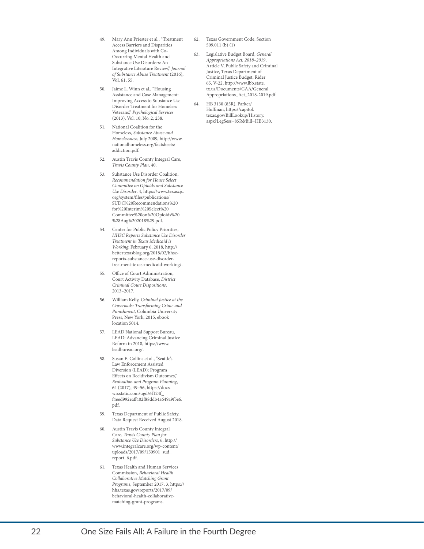- <span id="page-24-0"></span>49. Mary Ann Priester et al., "Treatment Access Barriers and Disparities Among Individuals with Co-Occurring Mental Health and Substance Use Disorders: An Integrative Literature Review," *Journal of Substance Abuse Treatment* (2016), Vol. 61, 55.
- <span id="page-24-1"></span>50. Jaime L. Winn et al., "Housing Assistance and Case Management: Improving Access to Substance Use Disorder Treatment for Homeless Veterans," *Psychological Services* (2013), Vol. 10, No. 2, 238.
- <span id="page-24-2"></span>51. National Coalition for the Homeless, *Substance Abuse and Homelessness*, July 2009, [http://www.](http://www.nationalhomeless.org/factsheets/addiction.pdf) [nationalhomeless.org/factsheets/](http://www.nationalhomeless.org/factsheets/addiction.pdf) [addiction.pdf.](http://www.nationalhomeless.org/factsheets/addiction.pdf)
- <span id="page-24-3"></span>52. Austin Travis County Integral Care, *Travis County Plan*, 40.
- <span id="page-24-4"></span>53. Substance Use Disorder Coalition, *Recommendation for House Select Committee on Opioids and Substance Use Disorder*, 4, [https://www.texascjc.](https://www.texascjc.org/system/files/publications/SUDC%20Recommendations%20for%20Interim%20Select%20Committee%20on%20Opioids%20%28Aug%202018%29.pdf) [org/system/files/publications/](https://www.texascjc.org/system/files/publications/SUDC%20Recommendations%20for%20Interim%20Select%20Committee%20on%20Opioids%20%28Aug%202018%29.pdf) [SUDC%20Recommendations%20](https://www.texascjc.org/system/files/publications/SUDC%20Recommendations%20for%20Interim%20Select%20Committee%20on%20Opioids%20%28Aug%202018%29.pdf) [for%20Interim%20Select%20](https://www.texascjc.org/system/files/publications/SUDC%20Recommendations%20for%20Interim%20Select%20Committee%20on%20Opioids%20%28Aug%202018%29.pdf) [Committee%20on%20Opioids%20](https://www.texascjc.org/system/files/publications/SUDC%20Recommendations%20for%20Interim%20Select%20Committee%20on%20Opioids%20%28Aug%202018%29.pdf) [%28Aug%202018%29.pdf](https://www.texascjc.org/system/files/publications/SUDC%20Recommendations%20for%20Interim%20Select%20Committee%20on%20Opioids%20%28Aug%202018%29.pdf).
- <span id="page-24-5"></span>54. Center for Public Policy Priorities, *HHSC Reports Substance Use Disorder Treatment in Texas Medicaid is Working*, February 6, 2018, [http://](http://bettertexasblog.org/2018/02/hhsc-reports-substance-use-disorder-treatment-texas-medicaid-working/) [bettertexasblog.org/2018/02/hhsc](http://bettertexasblog.org/2018/02/hhsc-reports-substance-use-disorder-treatment-texas-medicaid-working/)[reports-substance-use-disorder](http://bettertexasblog.org/2018/02/hhsc-reports-substance-use-disorder-treatment-texas-medicaid-working/)[treatment-texas-medicaid-working/](http://bettertexasblog.org/2018/02/hhsc-reports-substance-use-disorder-treatment-texas-medicaid-working/).
- <span id="page-24-6"></span>55. Office of Court Administration, Court Activity Database, *District Criminal Court Dispositions*, 2013–2017.
- <span id="page-24-7"></span>56. William Kelly, *Criminal Justice at the Crossroads: Transforming Crime and Punishment*, Columbia University Press, New York, 2015, ebook location 5014.
- <span id="page-24-8"></span>57. LEAD National Support Bureau, LEAD: Advancing Criminal Justice Reform in 2018, [https://www.](https://www.leadbureau.org/) [leadbureau.org/](https://www.leadbureau.org/).
- <span id="page-24-9"></span>58. Susan E. Collins et al., "Seattle's Law Enforcement Assisted Diversion (LEAD): Program Effects on Recidivism Outcomes," *Evaluation and Program Planning*, 64 (2017), 49–56, [https://docs.](https://docs.wixstatic.com/ugd/6f124f_f4eed992eaff402f88ddb4a649a9f5e6.pdf) [wixstatic.com/ugd/6f124f\\_](https://docs.wixstatic.com/ugd/6f124f_f4eed992eaff402f88ddb4a649a9f5e6.pdf) [f4eed992eaff402f88ddb4a649a9f5e6.](https://docs.wixstatic.com/ugd/6f124f_f4eed992eaff402f88ddb4a649a9f5e6.pdf) [pdf](https://docs.wixstatic.com/ugd/6f124f_f4eed992eaff402f88ddb4a649a9f5e6.pdf).
- <span id="page-24-10"></span>59. Texas Department of Public Safety, Data Request Received August 2018.
- <span id="page-24-11"></span>60. Austin Travis County Integral Care, *Travis County Plan for Substance Use Disorders*, 6, [http://](http://www.integralcare.org/wp-content/uploads/2017/09/150901_sud_report_6.pdf) [www.integralcare.org/wp-content/](http://www.integralcare.org/wp-content/uploads/2017/09/150901_sud_report_6.pdf) [uploads/2017/09/150901\\_sud\\_](http://www.integralcare.org/wp-content/uploads/2017/09/150901_sud_report_6.pdf) [report\\_6.pdf](http://www.integralcare.org/wp-content/uploads/2017/09/150901_sud_report_6.pdf).
- <span id="page-24-12"></span>61. Texas Health and Human Services Commission, *Behavioral Health Collaborative Matching Grant Programs*, September 2017, 3, [https://](https://hhs.texas.gov/reports/2017/09/behavioral-health-collaborative-matching-grant-programs) [hhs.texas.gov/reports/2017/09/](https://hhs.texas.gov/reports/2017/09/behavioral-health-collaborative-matching-grant-programs) [behavioral-health-collaborative](https://hhs.texas.gov/reports/2017/09/behavioral-health-collaborative-matching-grant-programs)[matching-grant-programs.](https://hhs.texas.gov/reports/2017/09/behavioral-health-collaborative-matching-grant-programs)
- <span id="page-24-13"></span>62. Texas Government Code, Section 509.011 (b) (1)
- <span id="page-24-14"></span>63. Legislative Budget Board, *General Appropriations Act, 2018–2019*, Article V, Public Safety and Criminal Justice, Texas Department of Criminal Justice Budget, Rider 65, V-22, [http://www.lbb.state.](http://www.lbb.state.tx.us/Documents/GAA/General_Appropriations_Act_2018-2019.pdf) [tx.us/Documents/GAA/General\\_](http://www.lbb.state.tx.us/Documents/GAA/General_Appropriations_Act_2018-2019.pdf) [Appropriations\\_Act\\_2018-2019.pdf.](http://www.lbb.state.tx.us/Documents/GAA/General_Appropriations_Act_2018-2019.pdf)
- <span id="page-24-15"></span>64. HB 3130 (85R), Parker/ Huffman, [https://capitol.](https://capitol.texas.gov/BillLookup/History.aspx?LegSess=85R&Bill=HB3130) [texas.gov/BillLookup/History.](https://capitol.texas.gov/BillLookup/History.aspx?LegSess=85R&Bill=HB3130) [aspx?LegSess=85R&Bill=HB3130](https://capitol.texas.gov/BillLookup/History.aspx?LegSess=85R&Bill=HB3130).